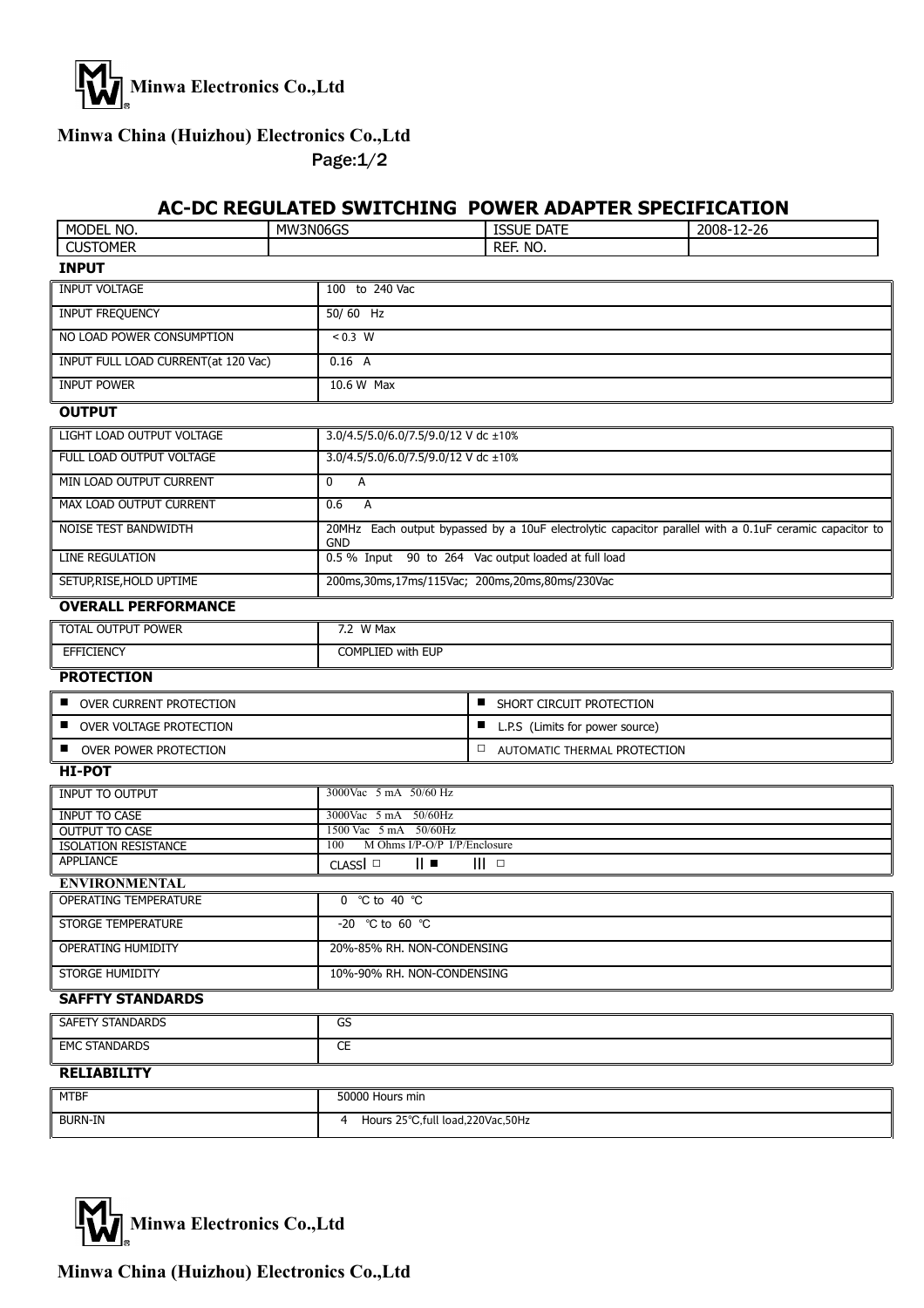

## **Minwa China (Huizhou) Electronics Co.,Ltd**

Page:1/2

### **AC-DC REGULATED SWITCHING POWER ADAPTER SPECIFICATION**

| MODEL NO.                                     | MW3N06GS |                                                                                                                      | <b>ISSUE DATE</b>                     | 2008-12-26 |  |  |
|-----------------------------------------------|----------|----------------------------------------------------------------------------------------------------------------------|---------------------------------------|------------|--|--|
| <b>CUSTOMER</b>                               |          |                                                                                                                      | REF. NO.                              |            |  |  |
| <b>INPUT</b>                                  |          |                                                                                                                      |                                       |            |  |  |
| <b>INPUT VOLTAGE</b>                          |          | 100 to 240 Vac                                                                                                       |                                       |            |  |  |
| INPUT FREQUENCY                               |          | 50/60 Hz                                                                                                             |                                       |            |  |  |
| NO LOAD POWER CONSUMPTION                     |          | $\frac{1}{0.3}$ W                                                                                                    |                                       |            |  |  |
| INPUT FULL LOAD CURRENT(at 120 Vac)           |          | 0.16 A                                                                                                               |                                       |            |  |  |
| <b>INPUT POWER</b>                            |          | 10.6 W Max                                                                                                           |                                       |            |  |  |
| <b>OUTPUT</b>                                 |          |                                                                                                                      |                                       |            |  |  |
| LIGHT LOAD OUTPUT VOLTAGE                     |          | 3.0/4.5/5.0/6.0/7.5/9.0/12 V dc ±10%                                                                                 |                                       |            |  |  |
| FULL LOAD OUTPUT VOLTAGE                      |          | 3.0/4.5/5.0/6.0/7.5/9.0/12 V dc ±10%                                                                                 |                                       |            |  |  |
| MIN LOAD OUTPUT CURRENT                       |          | 0<br>Α                                                                                                               |                                       |            |  |  |
| MAX LOAD OUTPUT CURRENT                       |          | 0.6<br>A                                                                                                             |                                       |            |  |  |
| NOISE TEST BANDWIDTH                          |          | 20MHz Each output bypassed by a 10uF electrolytic capacitor parallel with a 0.1uF ceramic capacitor to<br><b>GND</b> |                                       |            |  |  |
| <b>LINE REGULATION</b>                        |          | 0.5 % Input 90 to 264 Vac output loaded at full load                                                                 |                                       |            |  |  |
| SETUP, RISE, HOLD UPTIME                      |          | 200ms, 30ms, 17ms/115Vac; 200ms, 20ms, 80ms/230Vac                                                                   |                                       |            |  |  |
| <b>OVERALL PERFORMANCE</b>                    |          |                                                                                                                      |                                       |            |  |  |
| TOTAL OUTPUT POWER                            |          | $7.2$ W Max                                                                                                          |                                       |            |  |  |
| <b>EFFICIENCY</b>                             |          | <b>COMPLIED with EUP</b>                                                                                             |                                       |            |  |  |
| <b>PROTECTION</b>                             |          |                                                                                                                      |                                       |            |  |  |
| OVER CURRENT PROTECTION                       |          | <b>SHORT CIRCUIT PROTECTION</b>                                                                                      |                                       |            |  |  |
| OVER VOLTAGE PROTECTION                       |          | ■ L.P.S (Limits for power source)                                                                                    |                                       |            |  |  |
| OVER POWER PROTECTION                         |          |                                                                                                                      | <b>E AUTOMATIC THERMAL PROTECTION</b> |            |  |  |
| <b>HI-POT</b>                                 |          |                                                                                                                      |                                       |            |  |  |
| <b>INPUT TO OUTPUT</b>                        |          | 3000Vac 5 mA 50/60 Hz                                                                                                |                                       |            |  |  |
| INPUT TO CASE                                 |          | 3000Vac 5 mA 50/60Hz                                                                                                 |                                       |            |  |  |
| <b>OUTPUT TO CASE</b><br>ISOLATION RESISTANCE |          | 1500 Vac 5 mA 50/60Hz<br>M Ohms I/P-O/P I/P/Enclosure<br>100                                                         |                                       |            |  |  |
| APPLIANCE                                     |          | CLASS <sup>I</sup><br>$   \cdot$<br>$III$ $\Box$                                                                     |                                       |            |  |  |
| <b>ENVIRONMENTAL</b>                          |          |                                                                                                                      |                                       |            |  |  |
| OPERATING TEMPERATURE                         |          | 0 °C to 40 $^{\circ}$ C                                                                                              |                                       |            |  |  |
| STORGE TEMPERATURE                            |          | -20 °C to 60 °C                                                                                                      |                                       |            |  |  |
| OPERATING HUMIDITY                            |          | 20%-85% RH. NON-CONDENSING                                                                                           |                                       |            |  |  |
| STORGE HUMIDITY                               |          | 10%-90% RH. NON-CONDENSING                                                                                           |                                       |            |  |  |
| <b>SAFFTY STANDARDS</b>                       |          |                                                                                                                      |                                       |            |  |  |
| <b>SAFETY STANDARDS</b>                       |          | GS                                                                                                                   |                                       |            |  |  |
| <b>EMC STANDARDS</b>                          |          | <b>CE</b>                                                                                                            |                                       |            |  |  |
| <b>RELIABILITY</b>                            |          |                                                                                                                      |                                       |            |  |  |
| <b>MTBF</b>                                   |          | 50000 Hours min                                                                                                      |                                       |            |  |  |
| <b>BURN-IN</b>                                |          | Hours 25°C, full load, 220 Vac, 50 Hz<br>4                                                                           |                                       |            |  |  |



**Minwa China (Huizhou) Electronics Co.,Ltd**